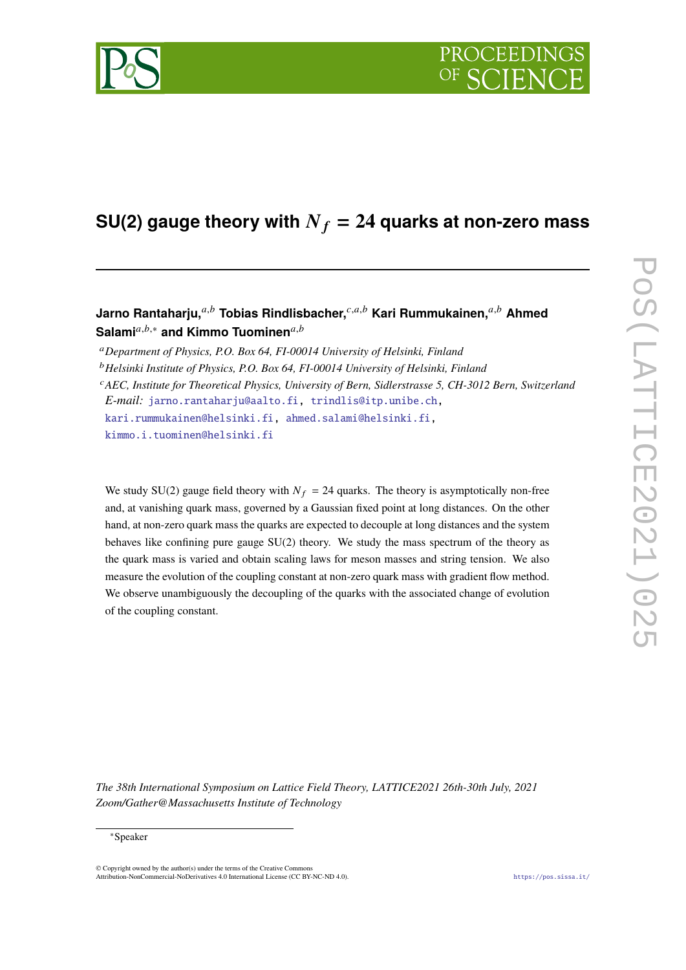

# **SU(2) gauge theory with**  $N_f = 24$  **quarks at non-zero mass**

# Jarno Rantaharju,<sup>*a,b*</sup> Tobias Rindlisbacher,<sup>*c,a,b*</sup> Kari Rummukainen,<sup>*a,b*</sup> Ahmed Salami<sup>a,b,\*</sup> and Kimmo Tuominen<sup>a,b</sup>

<sup>𝑎</sup>*Department of Physics, P.O. Box 64, FI-00014 University of Helsinki, Finland*

<sup>b</sup> Helsinki Institute of Physics, P.O. Box 64, FI-00014 University of Helsinki, Finland

<sup>c</sup>AEC, Institute for Theoretical Physics, University of Bern, Sidlerstrasse 5, CH-3012 Bern, Switzerland *E-mail:* [jarno.rantaharju@aalto.fi,](mailto:jarno.rantaharju@aalto.fi) [trindlis@itp.unibe.ch,](mailto:trindlis@itp.unibe.ch) [kari.rummukainen@helsinki.fi,](mailto:kari.rummukainen@helsinki.fi) [ahmed.salami@helsinki.fi,](mailto:ahmed.salami@helsinki.fi)

[kimmo.i.tuominen@helsinki.fi](mailto:kimmo.i.tuominen@helsinki.fi)

We study SU(2) gauge field theory with  $N_f = 24$  quarks. The theory is asymptotically non-free and, at vanishing quark mass, governed by a Gaussian fixed point at long distances. On the other hand, at non-zero quark mass the quarks are expected to decouple at long distances and the system behaves like confining pure gauge  $SU(2)$  theory. We study the mass spectrum of the theory as the quark mass is varied and obtain scaling laws for meson masses and string tension. We also measure the evolution of the coupling constant at non-zero quark mass with gradient flow method. We observe unambiguously the decoupling of the quarks with the associated change of evolution of the coupling constant.

*The 38th International Symposium on Lattice Field Theory, LATTICE2021 26th-30th July, 2021 Zoom/Gather@Massachusetts Institute of Technology*

#### <sup>∗</sup>Speaker

© Copyright owned by the author(s) under the terms of the Creative Commons Attribution-NonCommercial-NoDerivatives 4.0 International License (CC BY-NC-ND 4.0). <https://pos.sissa.it/>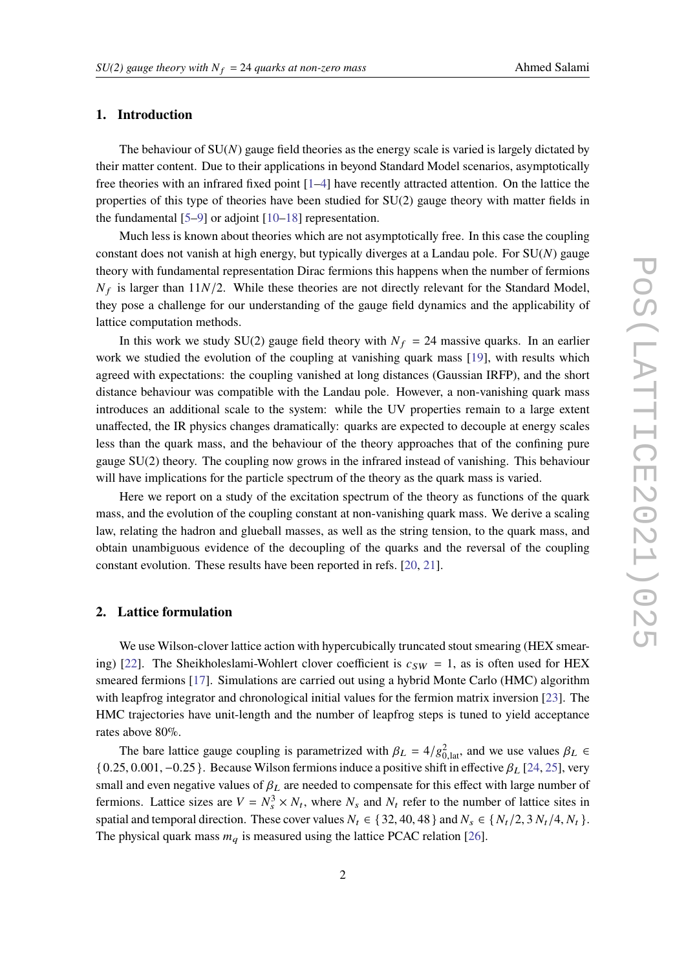#### **1. Introduction**

The behaviour of  $SU(N)$  gauge field theories as the energy scale is varied is largely dictated by their matter content. Due to their applications in beyond Standard Model scenarios, asymptotically free theories with an infrared fixed point [\[1–](#page-6-0)[4\]](#page-6-1) have recently attracted attention. On the lattice the properties of this type of theories have been studied for SU(2) gauge theory with matter fields in the fundamental  $[5-9]$  $[5-9]$  or adjoint  $[10-18]$  $[10-18]$  representation.

Much less is known about theories which are not asymptotically free. In this case the coupling constant does not vanish at high energy, but typically diverges at a Landau pole. For  $SU(N)$  gauge theory with fundamental representation Dirac fermions this happens when the number of fermions  $N_f$  is larger than 11 $N/2$ . While these theories are not directly relevant for the Standard Model, they pose a challenge for our understanding of the gauge field dynamics and the applicability of lattice computation methods.

In this work we study SU(2) gauge field theory with  $N_f = 24$  massive quarks. In an earlier work we studied the evolution of the coupling at vanishing quark mass [\[19\]](#page-7-2), with results which agreed with expectations: the coupling vanished at long distances (Gaussian IRFP), and the short distance behaviour was compatible with the Landau pole. However, a non-vanishing quark mass introduces an additional scale to the system: while the UV properties remain to a large extent unaffected, the IR physics changes dramatically: quarks are expected to decouple at energy scales less than the quark mass, and the behaviour of the theory approaches that of the confining pure gauge  $SU(2)$  theory. The coupling now grows in the infrared instead of vanishing. This behaviour will have implications for the particle spectrum of the theory as the quark mass is varied.

Here we report on a study of the excitation spectrum of the theory as functions of the quark mass, and the evolution of the coupling constant at non-vanishing quark mass. We derive a scaling law, relating the hadron and glueball masses, as well as the string tension, to the quark mass, and obtain unambiguous evidence of the decoupling of the quarks and the reversal of the coupling constant evolution. These results have been reported in refs. [\[20,](#page-7-3) [21\]](#page-7-4).

## <span id="page-1-0"></span>**2. Lattice formulation**

We use Wilson-clover lattice action with hypercubically truncated stout smearing (HEX smear-ing) [\[22\]](#page-7-5). The Sheikholeslami-Wohlert clover coefficient is  $c_{SW} = 1$ , as is often used for HEX smeared fermions [\[17\]](#page-7-6). Simulations are carried out using a hybrid Monte Carlo (HMC) algorithm with leapfrog integrator and chronological initial values for the fermion matrix inversion [\[23\]](#page-7-7). The HMC trajectories have unit-length and the number of leapfrog steps is tuned to yield acceptance rates above 80%.

The bare lattice gauge coupling is parametrized with  $\beta_L = 4/g_{0,lat}^2$ , and we use values  $\beta_L \in$  $\{0.25, 0.001, -0.25\}$ . Because Wilson fermions induce a positive shift in effective  $\beta_L$  [\[24,](#page-7-8) [25\]](#page-7-9), very small and even negative values of  $\beta_L$  are needed to compensate for this effect with large number of fermions. Lattice sizes are  $V = N_s^3 \times N_t$ , where  $N_s$  and  $N_t$  refer to the number of lattice sites in spatial and temporal direction. These cover values  $N_t \in \{32, 40, 48\}$  and  $N_s \in \{N_t/2, 3N_t/4, N_t\}$ . The physical quark mass  $m_q$  is measured using the lattice PCAC relation [\[26\]](#page-8-0).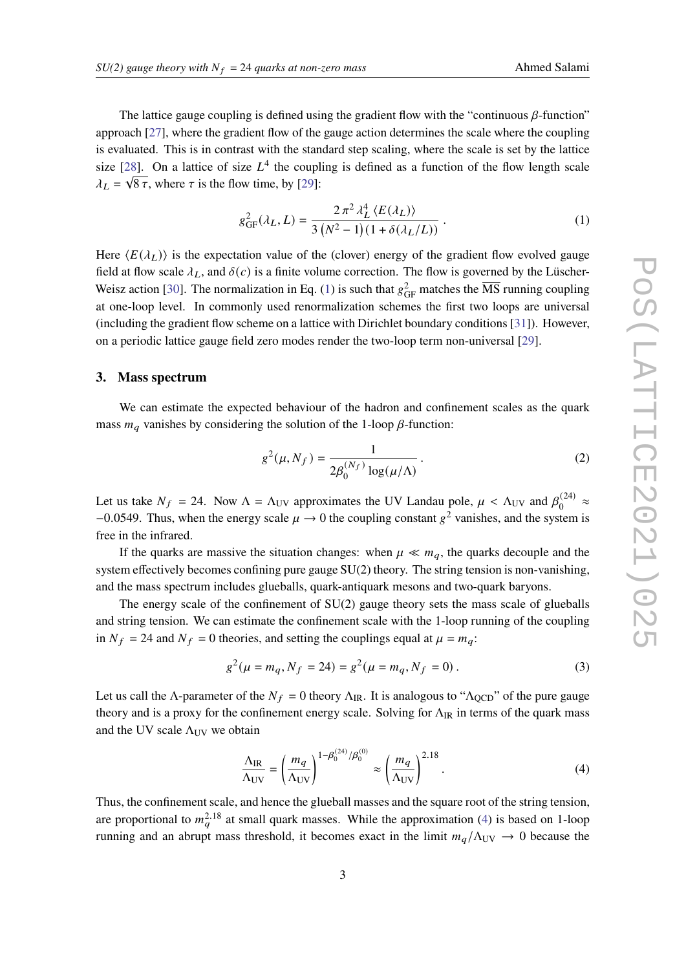The lattice gauge coupling is defined using the gradient flow with the "continuous  $\beta$ -function" approach [\[27\]](#page-8-1), where the gradient flow of the gauge action determines the scale where the coupling is evaluated. This is in contrast with the standard step scaling, where the scale is set by the lattice size [\[28\]](#page-8-2). On a lattice of size  $L^4$  the coupling is defined as a function of the flow length scale  $\lambda_L = \sqrt{8 \tau}$ , where  $\tau$  is the flow time, by [\[29\]](#page-8-3):

<span id="page-2-0"></span>
$$
g_{GF}^{2}(\lambda_{L}, L) = \frac{2 \pi^{2} \lambda_{L}^{4} \langle E(\lambda_{L}) \rangle}{3 (N^{2} - 1)(1 + \delta(\lambda_{L}/L))}.
$$
 (1)

Here  $\langle E(\lambda_L) \rangle$  is the expectation value of the (clover) energy of the gradient flow evolved gauge field at flow scale  $\lambda_L$ , and  $\delta(c)$  is a finite volume correction. The flow is governed by the Lüscher-Weisz action [\[30\]](#page-8-4). The normalization in Eq. [\(1\)](#page-2-0) is such that  $g_{GF}^2$  matches the  $\overline{\text{MS}}$  running coupling at one-loop level. In commonly used renormalization schemes the first two loops are universal (including the gradient flow scheme on a lattice with Dirichlet boundary conditions [\[31\]](#page-8-5)). However, on a periodic lattice gauge field zero modes render the two-loop term non-universal [\[29\]](#page-8-3).

#### **3. Mass spectrum**

We can estimate the expected behaviour of the hadron and confinement scales as the quark mass  $m_a$  vanishes by considering the solution of the 1-loop  $\beta$ -function:

$$
g^{2}(\mu, N_{f}) = \frac{1}{2\beta_{0}^{(N_{f})}\log(\mu/\Lambda)}.
$$
 (2)

Let us take  $N_f = 24$ . Now  $\Lambda = \Lambda_{UV}$  approximates the UV Landau pole,  $\mu < \Lambda_{UV}$  and  $\beta_0^{(24)}$  $\frac{1}{0}$ <sup>(24)</sup>  $\approx$  $-0.0549$ . Thus, when the energy scale  $\mu \rightarrow 0$  the coupling constant  $g^2$  vanishes, and the system is free in the infrared.

If the quarks are massive the situation changes: when  $\mu \ll m_q$ , the quarks decouple and the system effectively becomes confining pure gauge SU(2) theory. The string tension is non-vanishing, and the mass spectrum includes glueballs, quark-antiquark mesons and two-quark baryons.

The energy scale of the confinement of SU(2) gauge theory sets the mass scale of glueballs and string tension. We can estimate the confinement scale with the 1-loop running of the coupling in  $N_f = 24$  and  $N_f = 0$  theories, and setting the couplings equal at  $\mu = m_q$ :

$$
g^{2}(\mu = m_{q}, N_{f} = 24) = g^{2}(\mu = m_{q}, N_{f} = 0).
$$
 (3)

Let us call the Λ-parameter of the  $N_f = 0$  theory  $\Lambda_{IR}$ . It is analogous to " $\Lambda_{QCD}$ " of the pure gauge theory and is a proxy for the confinement energy scale. Solving for  $\Lambda_{IR}$  in terms of the quark mass and the UV scale  $\Lambda_{UV}$  we obtain

<span id="page-2-1"></span>
$$
\frac{\Lambda_{\rm IR}}{\Lambda_{\rm UV}} = \left(\frac{m_q}{\Lambda_{\rm UV}}\right)^{1-\beta_0^{(24)}/\beta_0^{(0)}} \approx \left(\frac{m_q}{\Lambda_{\rm UV}}\right)^{2.18}.\tag{4}
$$

Thus, the confinement scale, and hence the glueball masses and the square root of the string tension, are proportional to  $m_a^{2.18}$  at small quark masses. While the approximation [\(4\)](#page-2-1) is based on 1-loop running and an abrupt mass threshold, it becomes exact in the limit  $m_q/\Lambda_{UV} \rightarrow 0$  because the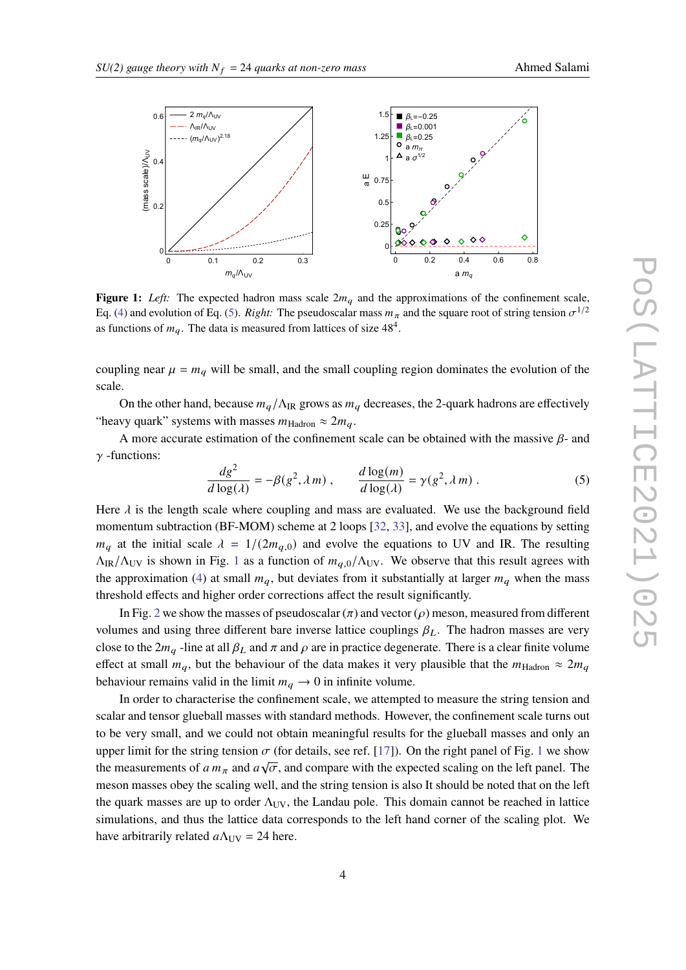<span id="page-3-1"></span>

**Figure 1:** *Left:* The expected hadron mass scale  $2m_q$  and the approximations of the confinement scale, Eq. [\(4\)](#page-2-1) and evolution of Eq. [\(5\)](#page-3-0). *Right:* The pseudoscalar mass  $m_{\pi}$  and the square root of string tension  $\sigma^{1/2}$ as functions of  $m_q$ . The data is measured from lattices of size  $48^4$ .

coupling near  $\mu = m_q$  will be small, and the small coupling region dominates the evolution of the scale.

On the other hand, because  $m_q/\Lambda_{\text{IR}}$  grows as  $m_q$  decreases, the 2-quark hadrons are effectively "heavy quark" systems with masses  $m_{\text{Hadron}} \approx 2m_q$ .

A more accurate estimation of the confinement scale can be obtained with the massive  $\beta$ - and  $\gamma$  -functions:

<span id="page-3-0"></span>
$$
\frac{dg^2}{d\log(\lambda)} = -\beta(g^2, \lambda m) , \qquad \frac{d\log(m)}{d\log(\lambda)} = \gamma(g^2, \lambda m) .
$$
 (5)

Here  $\lambda$  is the length scale where coupling and mass are evaluated. We use the background field momentum subtraction (BF-MOM) scheme at 2 loops [\[32,](#page-8-6) [33\]](#page-8-7), and evolve the equations by setting  $m_q$  at the initial scale  $\lambda = 1/(2m_{q,0})$  and evolve the equations to UV and IR. The resulting  $\Lambda_{IR}/\Lambda_{UV}$  is shown in Fig. [1](#page-3-1) as a function of  $m_{a,0}/\Lambda_{UV}$ . We observe that this result agrees with the approximation [\(4\)](#page-2-1) at small  $m_q$ , but deviates from it substantially at larger  $m_q$  when the mass threshold effects and higher order corrections affect the result significantly.

In Fig. [2](#page-4-0) we show the masses of pseudoscalar  $(\pi)$  and vector ( $\rho$ ) meson, measured from different volumes and using three different bare inverse lattice couplings  $\beta_L$ . The hadron masses are very close to the  $2m_q$ -line at all  $\beta_L$  and  $\pi$  and  $\rho$  are in practice degenerate. There is a clear finite volume effect at small  $m_q$ , but the behaviour of the data makes it very plausible that the  $m_{\text{Hadron}} \approx 2m_q$ behaviour remains valid in the limit  $m_q \to 0$  in infinite volume.

In order to characterise the confinement scale, we attempted to measure the string tension and scalar and tensor glueball masses with standard methods. However, the confinement scale turns out to be very small, and we could not obtain meaningful results for the glueball masses and only an upper limit for the string tension  $\sigma$  (for details, see ref. [\[17\]](#page-7-6)). On the right panel of Fig. [1](#page-3-1) we show the measurements of  $a m_{\pi}$  and  $a \sqrt{\sigma}$ , and compare with the expected scaling on the left panel. The meson masses obey the scaling well, and the string tension is also It should be noted that on the left the quark masses are up to order  $\Lambda_{UV}$ , the Landau pole. This domain cannot be reached in lattice simulations, and thus the lattice data corresponds to the left hand corner of the scaling plot. We have arbitrarily related  $a\Lambda_{\text{UV}} = 24$  here.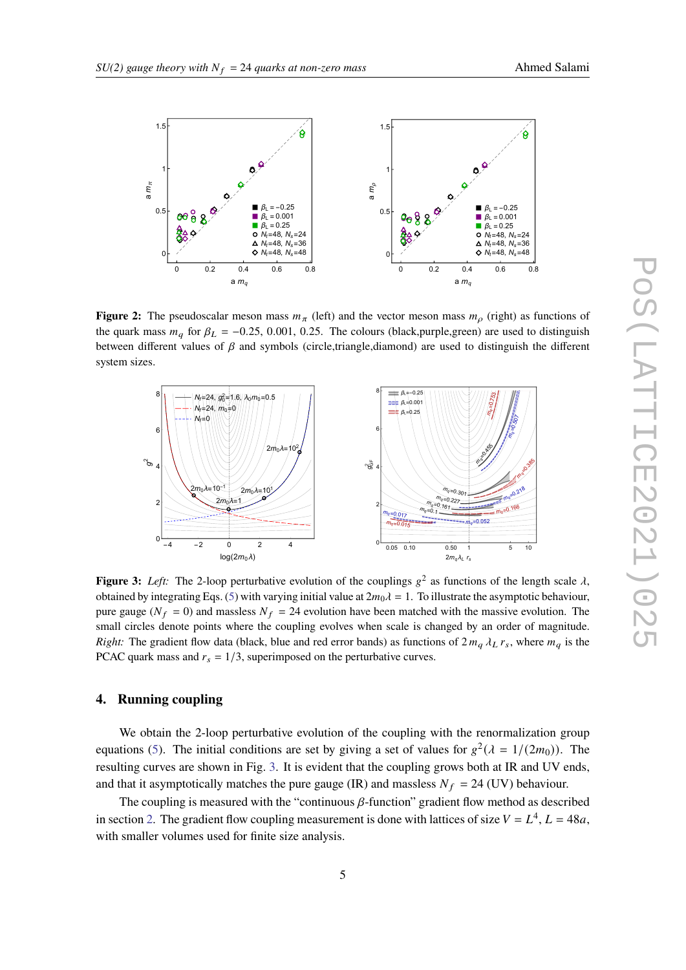<span id="page-4-0"></span>

**Figure 2:** The pseudoscalar meson mass  $m_{\pi}$  (left) and the vector meson mass  $m_{\rho}$  (right) as functions of the quark mass  $m_q$  for  $\beta_L = -0.25, 0.001, 0.25$ . The colours (black,purple,green) are used to distinguish between different values of  $\beta$  and symbols (circle,triangle,diamond) are used to distinguish the different system sizes.

<span id="page-4-1"></span>

**Figure 3:** Left: The 2-loop perturbative evolution of the couplings  $g^2$  as functions of the length scale  $\lambda$ , obtained by integrating Eqs. [\(5\)](#page-3-0) with varying initial value at  $2m_0\lambda = 1$ . To illustrate the asymptotic behaviour, pure gauge ( $N_f = 0$ ) and massless  $N_f = 24$  evolution have been matched with the massive evolution. The small circles denote points where the coupling evolves when scale is changed by an order of magnitude. *Right:* The gradient flow data (black, blue and red error bands) as functions of  $2 m_q \lambda_L r_s$ , where  $m_q$  is the PCAC quark mass and  $r_s = 1/3$ , superimposed on the perturbative curves.

# **4. Running coupling**

We obtain the 2-loop perturbative evolution of the coupling with the renormalization group equations [\(5\)](#page-3-0). The initial conditions are set by giving a set of values for  $g^2(\lambda = 1/(2m_0))$ . The resulting curves are shown in Fig. [3.](#page-4-1) It is evident that the coupling grows both at IR and UV ends, and that it asymptotically matches the pure gauge (IR) and massless  $N_f = 24$  (UV) behaviour.

The coupling is measured with the "continuous  $\beta$ -function" gradient flow method as described in section [2.](#page-1-0) The gradient flow coupling measurement is done with lattices of size  $V = L<sup>4</sup>$ ,  $L = 48a$ , with smaller volumes used for finite size analysis.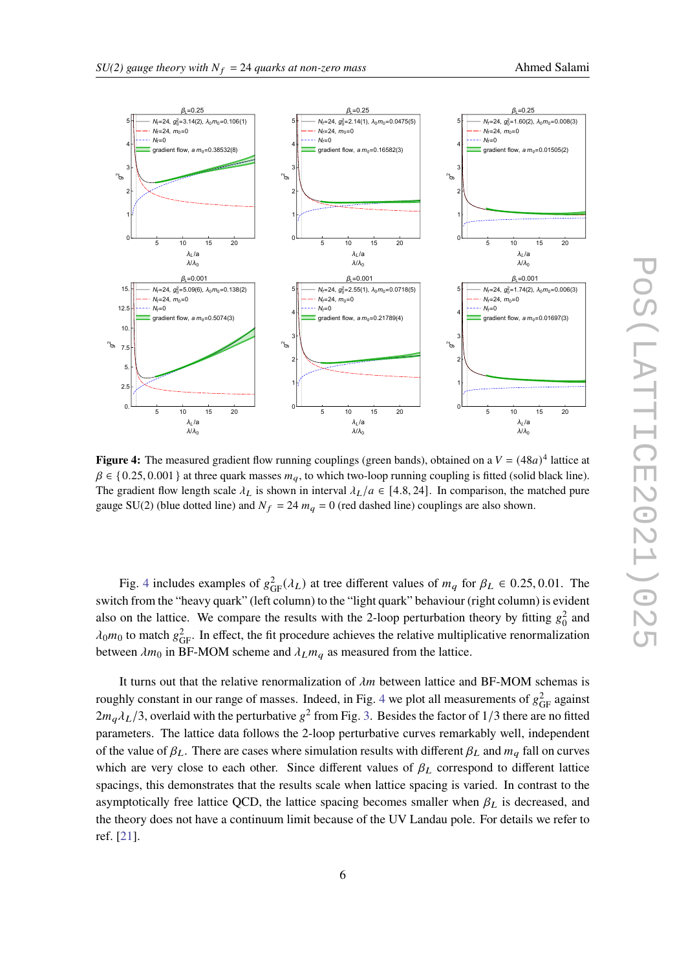<span id="page-5-0"></span>

**Figure 4:** The measured gradient flow running couplings (green bands), obtained on a  $V = (48a)^4$  lattice at  $\beta \in \{0.25, 0.001\}$  at three quark masses  $m_q$ , to which two-loop running coupling is fitted (solid black line). The gradient flow length scale  $\lambda_L$  is shown in interval  $\lambda_L/a \in [4.8, 24]$ . In comparison, the matched pure gauge SU(2) (blue dotted line) and  $N_f = 24$   $m_q = 0$  (red dashed line) couplings are also shown.

Fig. [4](#page-5-0) includes examples of  $g_{GF}^2(\lambda_L)$  at tree different values of  $m_q$  for  $\beta_L \in 0.25, 0.01$ . The switch from the "heavy quark" (left column) to the "light quark" behaviour (right column) is evident also on the lattice. We compare the results with the 2-loop perturbation theory by fitting  $g_0^2$  and  $\lambda_0 m_0$  to match  $g_{\text{GF}}^2$ . In effect, the fit procedure achieves the relative multiplicative renormalization between  $\lambda m_0$  in BF-MOM scheme and  $\lambda_L m_q$  as measured from the lattice.

It turns out that the relative renormalization of  $\lambda m$  between lattice and BF-MOM schemas is roughly constant in our range of masses. Indeed, in Fig. [4](#page-5-0) we plot all measurements of  $g_{GF}^2$  against  $2m_q\lambda_L/3$ , overlaid with the perturbative  $g^2$  from Fig. [3.](#page-4-1) Besides the factor of 1/3 there are no fitted parameters. The lattice data follows the 2-loop perturbative curves remarkably well, independent of the value of  $\beta_L$ . There are cases where simulation results with different  $\beta_L$  and  $m_q$  fall on curves which are very close to each other. Since different values of  $\beta_L$  correspond to different lattice spacings, this demonstrates that the results scale when lattice spacing is varied. In contrast to the asymptotically free lattice QCD, the lattice spacing becomes smaller when  $\beta_L$  is decreased, and the theory does not have a continuum limit because of the UV Landau pole. For details we refer to ref. [\[21\]](#page-7-4).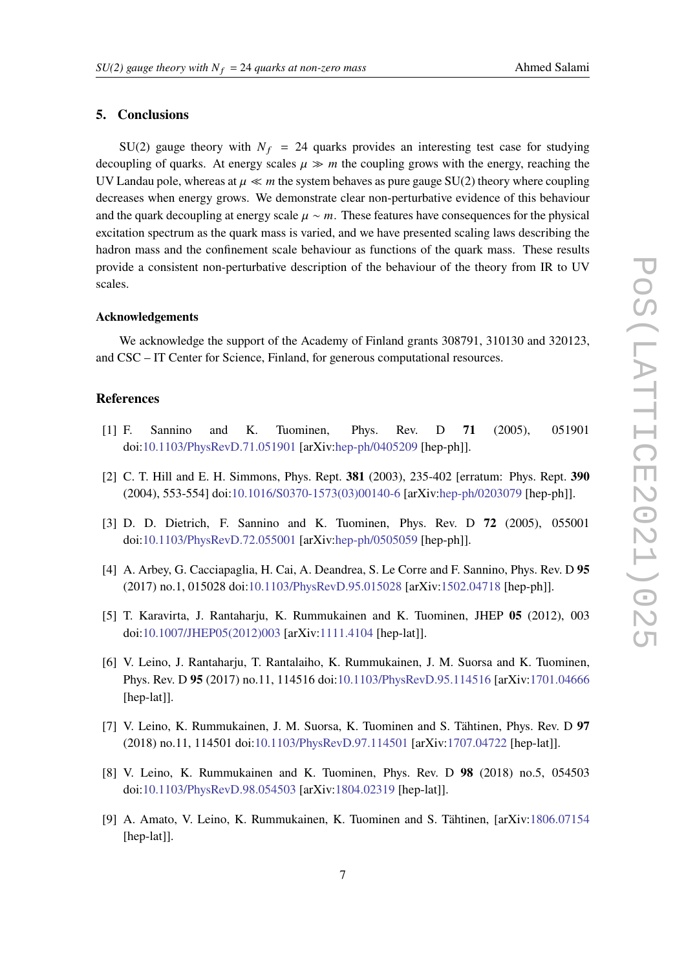# **5. Conclusions**

SU(2) gauge theory with  $N_f = 24$  quarks provides an interesting test case for studying decoupling of quarks. At energy scales  $\mu \gg m$  the coupling grows with the energy, reaching the UV Landau pole, whereas at  $\mu \ll m$  the system behaves as pure gauge SU(2) theory where coupling decreases when energy grows. We demonstrate clear non-perturbative evidence of this behaviour and the quark decoupling at energy scale  $\mu \sim m$ . These features have consequences for the physical excitation spectrum as the quark mass is varied, and we have presented scaling laws describing the hadron mass and the confinement scale behaviour as functions of the quark mass. These results provide a consistent non-perturbative description of the behaviour of the theory from IR to UV scales.

#### **Acknowledgements**

We acknowledge the support of the Academy of Finland grants 308791, 310130 and 320123, and CSC – IT Center for Science, Finland, for generous computational resources.

### **References**

- <span id="page-6-0"></span>[1] F. Sannino and K. Tuominen, Phys. Rev. D **71** (2005), 051901 doi[:10.1103/PhysRevD.71.051901](https://doi.org/10.1103/PhysRevD.71.051901) [arXiv[:hep-ph/0405209](https://arxiv.org/abs/hep-ph/0405209) [hep-ph]].
- [2] C. T. Hill and E. H. Simmons, Phys. Rept. **381** (2003), 235-402 [erratum: Phys. Rept. **390** (2004), 553-554] doi[:10.1016/S0370-1573\(03\)00140-6](https://doi.org/10.1016/S0370-1573(03)00140-6) [arXiv[:hep-ph/0203079](https://arxiv.org/abs/hep-ph/0203079) [hep-ph]].
- [3] D. D. Dietrich, F. Sannino and K. Tuominen, Phys. Rev. D **72** (2005), 055001 doi[:10.1103/PhysRevD.72.055001](https://doi.org/10.1103/PhysRevD.72.055001) [arXiv[:hep-ph/0505059](https://arxiv.org/abs/hep-ph/0505059) [hep-ph]].
- <span id="page-6-1"></span>[4] A. Arbey, G. Cacciapaglia, H. Cai, A. Deandrea, S. Le Corre and F. Sannino, Phys. Rev. D **95** (2017) no.1, 015028 doi[:10.1103/PhysRevD.95.015028](https://doi.org/10.1103/PhysRevD.95.015028) [arXiv[:1502.04718](https://arxiv.org/abs/1502.04718) [hep-ph]].
- <span id="page-6-2"></span>[5] T. Karavirta, J. Rantaharju, K. Rummukainen and K. Tuominen, JHEP **05** (2012), 003 doi[:10.1007/JHEP05\(2012\)003](https://doi.org/10.1007/JHEP05(2012)003) [arXiv[:1111.4104](https://arxiv.org/abs/1111.4104) [hep-lat]].
- [6] V. Leino, J. Rantaharju, T. Rantalaiho, K. Rummukainen, J. M. Suorsa and K. Tuominen, Phys. Rev. D **95** (2017) no.11, 114516 doi[:10.1103/PhysRevD.95.114516](https://doi.org/10.1103/PhysRevD.95.114516) [arXiv[:1701.04666](https://arxiv.org/abs/1701.04666) [hep-lat]].
- [7] V. Leino, K. Rummukainen, J. M. Suorsa, K. Tuominen and S. Tähtinen, Phys. Rev. D **97** (2018) no.11, 114501 doi[:10.1103/PhysRevD.97.114501](https://doi.org/10.1103/PhysRevD.97.114501) [arXiv[:1707.04722](https://arxiv.org/abs/1707.04722) [hep-lat]].
- [8] V. Leino, K. Rummukainen and K. Tuominen, Phys. Rev. D **98** (2018) no.5, 054503 doi[:10.1103/PhysRevD.98.054503](https://doi.org/10.1103/PhysRevD.98.054503) [arXiv[:1804.02319](https://arxiv.org/abs/1804.02319) [hep-lat]].
- <span id="page-6-3"></span>[9] A. Amato, V. Leino, K. Rummukainen, K. Tuominen and S. Tähtinen, [arXiv[:1806.07154](https://arxiv.org/abs/1806.07154) [hep-lat]].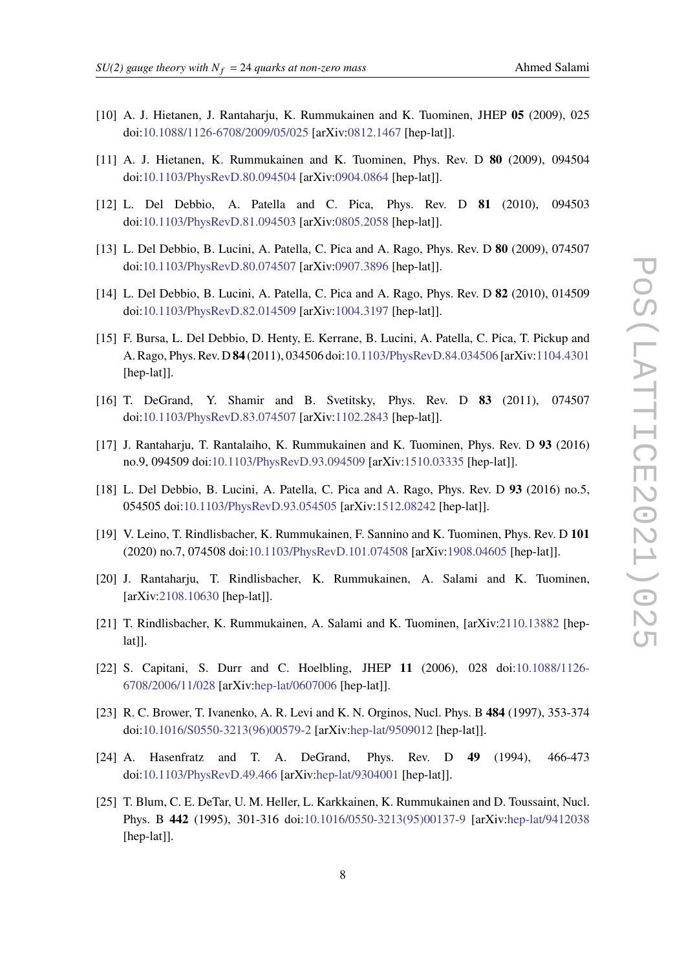- <span id="page-7-0"></span>[10] A. J. Hietanen, J. Rantaharju, K. Rummukainen and K. Tuominen, JHEP **05** (2009), 025 doi[:10.1088/1126-6708/2009/05/025](https://doi.org/10.1088/1126-6708/2009/05/025) [arXiv[:0812.1467](https://arxiv.org/abs/0812.1467) [hep-lat]].
- [11] A. J. Hietanen, K. Rummukainen and K. Tuominen, Phys. Rev. D **80** (2009), 094504 doi[:10.1103/PhysRevD.80.094504](https://doi.org/10.1103/PhysRevD.80.094504) [arXiv[:0904.0864](https://arxiv.org/abs/0904.0864) [hep-lat]].
- [12] L. Del Debbio, A. Patella and C. Pica, Phys. Rev. D **81** (2010), 094503 doi[:10.1103/PhysRevD.81.094503](https://doi.org/10.1103/PhysRevD.81.094503) [arXiv[:0805.2058](https://arxiv.org/abs/0805.2058) [hep-lat]].
- [13] L. Del Debbio, B. Lucini, A. Patella, C. Pica and A. Rago, Phys. Rev. D **80** (2009), 074507 doi[:10.1103/PhysRevD.80.074507](https://doi.org/10.1103/PhysRevD.80.074507) [arXiv[:0907.3896](https://arxiv.org/abs/0907.3896) [hep-lat]].
- [14] L. Del Debbio, B. Lucini, A. Patella, C. Pica and A. Rago, Phys. Rev. D **82** (2010), 014509 doi[:10.1103/PhysRevD.82.014509](https://doi.org/10.1103/PhysRevD.82.014509) [arXiv[:1004.3197](https://arxiv.org/abs/1004.3197) [hep-lat]].
- [15] F. Bursa, L. Del Debbio, D. Henty, E. Kerrane, B. Lucini, A. Patella, C. Pica, T. Pickup and A. Rago, Phys. Rev. D **84** (2011), 034506 doi[:10.1103/PhysRevD.84.034506](https://doi.org/10.1103/PhysRevD.84.034506) [arXiv[:1104.4301](https://arxiv.org/abs/1104.4301) [hep-lat]].
- [16] T. DeGrand, Y. Shamir and B. Svetitsky, Phys. Rev. D **83** (2011), 074507 doi[:10.1103/PhysRevD.83.074507](https://doi.org/10.1103/PhysRevD.83.074507) [arXiv[:1102.2843](https://arxiv.org/abs/1102.2843) [hep-lat]].
- <span id="page-7-6"></span>[17] J. Rantaharju, T. Rantalaiho, K. Rummukainen and K. Tuominen, Phys. Rev. D **93** (2016) no.9, 094509 doi[:10.1103/PhysRevD.93.094509](https://doi.org/10.1103/PhysRevD.93.094509) [arXiv[:1510.03335](https://arxiv.org/abs/1510.03335) [hep-lat]].
- <span id="page-7-1"></span>[18] L. Del Debbio, B. Lucini, A. Patella, C. Pica and A. Rago, Phys. Rev. D **93** (2016) no.5, 054505 doi[:10.1103/PhysRevD.93.054505](https://doi.org/10.1103/PhysRevD.93.054505) [arXiv[:1512.08242](https://arxiv.org/abs/1512.08242) [hep-lat]].
- <span id="page-7-2"></span>[19] V. Leino, T. Rindlisbacher, K. Rummukainen, F. Sannino and K. Tuominen, Phys. Rev. D **101** (2020) no.7, 074508 doi[:10.1103/PhysRevD.101.074508](https://doi.org/10.1103/PhysRevD.101.074508) [arXiv[:1908.04605](https://arxiv.org/abs/1908.04605) [hep-lat]].
- <span id="page-7-3"></span>[20] J. Rantaharju, T. Rindlisbacher, K. Rummukainen, A. Salami and K. Tuominen, [arXiv[:2108.10630](https://arxiv.org/abs/2108.10630) [hep-lat]].
- <span id="page-7-4"></span>[21] T. Rindlisbacher, K. Rummukainen, A. Salami and K. Tuominen, [arXiv[:2110.13882](https://arxiv.org/abs/2110.13882) [heplat]].
- <span id="page-7-5"></span>[22] S. Capitani, S. Durr and C. Hoelbling, JHEP **11** (2006), 028 doi[:10.1088/1126-](https://doi.org/10.1088/1126-6708/2006/11/028) [6708/2006/11/028](https://doi.org/10.1088/1126-6708/2006/11/028) [arXiv[:hep-lat/0607006](https://arxiv.org/abs/hep-lat/0607006) [hep-lat]].
- <span id="page-7-7"></span>[23] R. C. Brower, T. Ivanenko, A. R. Levi and K. N. Orginos, Nucl. Phys. B **484** (1997), 353-374 doi[:10.1016/S0550-3213\(96\)00579-2](https://doi.org/10.1016/S0550-3213(96)00579-2) [arXiv[:hep-lat/9509012](https://arxiv.org/abs/hep-lat/9509012) [hep-lat]].
- <span id="page-7-8"></span>[24] A. Hasenfratz and T. A. DeGrand, Phys. Rev. D **49** (1994), 466-473 doi[:10.1103/PhysRevD.49.466](https://doi.org/10.1103/PhysRevD.49.466) [arXiv[:hep-lat/9304001](https://arxiv.org/abs/hep-lat/9304001) [hep-lat]].
- <span id="page-7-9"></span>[25] T. Blum, C. E. DeTar, U. M. Heller, L. Karkkainen, K. Rummukainen and D. Toussaint, Nucl. Phys. B **442** (1995), 301-316 doi[:10.1016/0550-3213\(95\)00137-9](https://doi.org/10.1016/0550-3213(95)00137-9) [arXiv[:hep-lat/9412038](https://arxiv.org/abs/hep-lat/9412038) [hep-lat]].